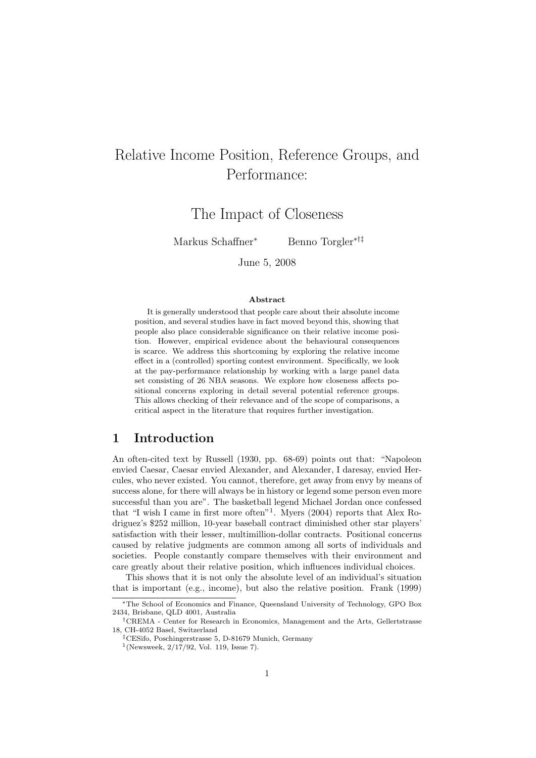# Relative Income Position, Reference Groups, and Performance:

The Impact of Closeness

Markus Schaffner<sup>∗</sup> Benno Torgler∗†‡

June 5, 2008

#### Abstract

It is generally understood that people care about their absolute income position, and several studies have in fact moved beyond this, showing that people also place considerable significance on their relative income position. However, empirical evidence about the behavioural consequences is scarce. We address this shortcoming by exploring the relative income effect in a (controlled) sporting contest environment. Specifically, we look at the pay-performance relationship by working with a large panel data set consisting of 26 NBA seasons. We explore how closeness affects positional concerns exploring in detail several potential reference groups. This allows checking of their relevance and of the scope of comparisons, a critical aspect in the literature that requires further investigation.

## 1 Introduction

An often-cited text by Russell (1930, pp. 68-69) points out that: "Napoleon envied Caesar, Caesar envied Alexander, and Alexander, I daresay, envied Hercules, who never existed. You cannot, therefore, get away from envy by means of success alone, for there will always be in history or legend some person even more successful than you are". The basketball legend Michael Jordan once confessed that "I wish I came in first more often"<sup>1</sup> . Myers (2004) reports that Alex Rodriguez's \$252 million, 10-year baseball contract diminished other star players' satisfaction with their lesser, multimillion-dollar contracts. Positional concerns caused by relative judgments are common among all sorts of individuals and societies. People constantly compare themselves with their environment and care greatly about their relative position, which influences individual choices.

This shows that it is not only the absolute level of an individual's situation that is important (e.g., income), but also the relative position. Frank (1999)

<sup>∗</sup>The School of Economics and Finance, Queensland University of Technology, GPO Box 2434, Brisbane, QLD 4001, Australia

<sup>†</sup>CREMA - Center for Research in Economics, Management and the Arts, Gellertstrasse 18, CH-4052 Basel, Switzerland

<sup>‡</sup>CESifo, Poschingerstrasse 5, D-81679 Munich, Germany

<sup>1</sup> (Newsweek, 2/17/92, Vol. 119, Issue 7).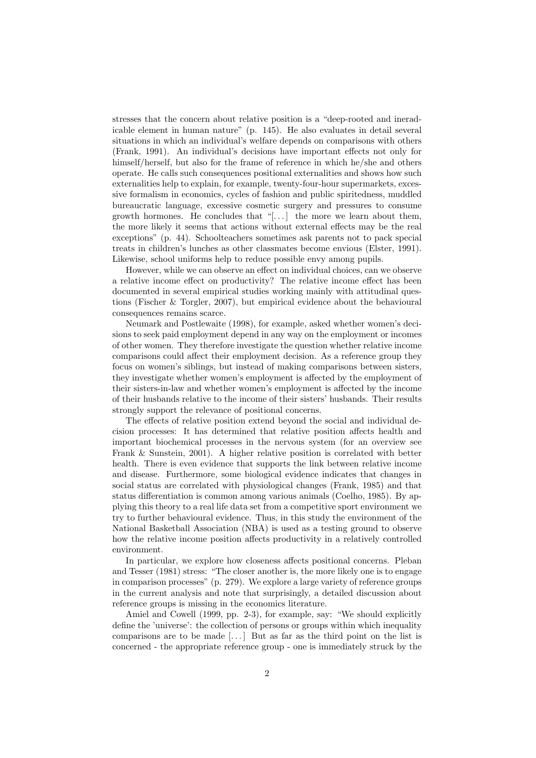stresses that the concern about relative position is a "deep-rooted and ineradicable element in human nature" (p. 145). He also evaluates in detail several situations in which an individual's welfare depends on comparisons with others (Frank, 1991). An individual's decisions have important effects not only for himself/herself, but also for the frame of reference in which he/she and others operate. He calls such consequences positional externalities and shows how such externalities help to explain, for example, twenty-four-hour supermarkets, excessive formalism in economics, cycles of fashion and public spiritedness, muddled bureaucratic language, excessive cosmetic surgery and pressures to consume growth hormones. He concludes that "[ $\dots$ ] the more we learn about them, the more likely it seems that actions without external effects may be the real exceptions" (p. 44). Schoolteachers sometimes ask parents not to pack special treats in children's lunches as other classmates become envious (Elster, 1991). Likewise, school uniforms help to reduce possible envy among pupils.

However, while we can observe an effect on individual choices, can we observe a relative income effect on productivity? The relative income effect has been documented in several empirical studies working mainly with attitudinal questions (Fischer & Torgler, 2007), but empirical evidence about the behavioural consequences remains scarce.

Neumark and Postlewaite (1998), for example, asked whether women's decisions to seek paid employment depend in any way on the employment or incomes of other women. They therefore investigate the question whether relative income comparisons could affect their employment decision. As a reference group they focus on women's siblings, but instead of making comparisons between sisters, they investigate whether women's employment is affected by the employment of their sisters-in-law and whether women's employment is affected by the income of their husbands relative to the income of their sisters' husbands. Their results strongly support the relevance of positional concerns.

The effects of relative position extend beyond the social and individual decision processes: It has determined that relative position affects health and important biochemical processes in the nervous system (for an overview see Frank & Sunstein, 2001). A higher relative position is correlated with better health. There is even evidence that supports the link between relative income and disease. Furthermore, some biological evidence indicates that changes in social status are correlated with physiological changes (Frank, 1985) and that status differentiation is common among various animals (Coelho, 1985). By applying this theory to a real life data set from a competitive sport environment we try to further behavioural evidence. Thus, in this study the environment of the National Basketball Association (NBA) is used as a testing ground to observe how the relative income position affects productivity in a relatively controlled environment.

In particular, we explore how closeness affects positional concerns. Pleban and Tesser (1981) stress: "The closer another is, the more likely one is to engage in comparison processes" (p. 279). We explore a large variety of reference groups in the current analysis and note that surprisingly, a detailed discussion about reference groups is missing in the economics literature.

Amiel and Cowell (1999, pp. 2-3), for example, say: "We should explicitly define the 'universe': the collection of persons or groups within which inequality comparisons are to be made  $[\dots]$  But as far as the third point on the list is concerned - the appropriate reference group - one is immediately struck by the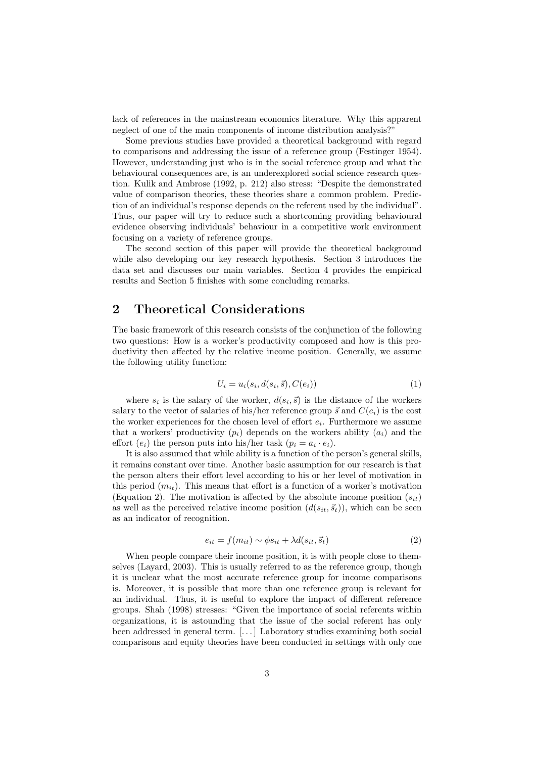lack of references in the mainstream economics literature. Why this apparent neglect of one of the main components of income distribution analysis?"

Some previous studies have provided a theoretical background with regard to comparisons and addressing the issue of a reference group (Festinger 1954). However, understanding just who is in the social reference group and what the behavioural consequences are, is an underexplored social science research question. Kulik and Ambrose (1992, p. 212) also stress: "Despite the demonstrated value of comparison theories, these theories share a common problem. Prediction of an individual's response depends on the referent used by the individual". Thus, our paper will try to reduce such a shortcoming providing behavioural evidence observing individuals' behaviour in a competitive work environment focusing on a variety of reference groups.

The second section of this paper will provide the theoretical background while also developing our key research hypothesis. Section 3 introduces the data set and discusses our main variables. Section 4 provides the empirical results and Section 5 finishes with some concluding remarks.

## 2 Theoretical Considerations

The basic framework of this research consists of the conjunction of the following two questions: How is a worker's productivity composed and how is this productivity then affected by the relative income position. Generally, we assume the following utility function:

$$
U_i = u_i(s_i, d(s_i, \vec{s}), C(e_i))
$$
\n<sup>(1)</sup>

where  $s_i$  is the salary of the worker,  $d(s_i, \vec{s})$  is the distance of the workers salary to the vector of salaries of his/her reference group  $\vec{s}$  and  $C(e_i)$  is the cost the worker experiences for the chosen level of effort  $e_i$ . Furthermore we assume that a workers' productivity  $(p_i)$  depends on the workers ability  $(a_i)$  and the effort  $(e_i)$  the person puts into his/her task  $(p_i = a_i \cdot e_i)$ .

It is also assumed that while ability is a function of the person's general skills, it remains constant over time. Another basic assumption for our research is that the person alters their effort level according to his or her level of motivation in this period  $(m_{it})$ . This means that effort is a function of a worker's motivation (Equation 2). The motivation is affected by the absolute income position  $(s_{it})$ as well as the perceived relative income position  $(d(s_{it}, \vec{s}_t))$ , which can be seen as an indicator of recognition.

$$
e_{it} = f(m_{it}) \sim \phi s_{it} + \lambda d(s_{it}, \vec{s}_t)
$$
\n<sup>(2)</sup>

When people compare their income position, it is with people close to themselves (Layard, 2003). This is usually referred to as the reference group, though it is unclear what the most accurate reference group for income comparisons is. Moreover, it is possible that more than one reference group is relevant for an individual. Thus, it is useful to explore the impact of different reference groups. Shah (1998) stresses: "Given the importance of social referents within organizations, it is astounding that the issue of the social referent has only been addressed in general term. [. . . ] Laboratory studies examining both social comparisons and equity theories have been conducted in settings with only one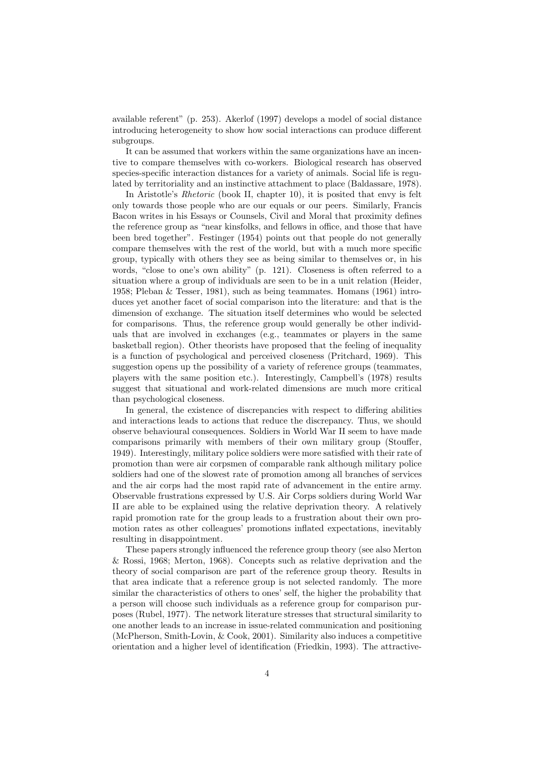available referent" (p. 253). Akerlof (1997) develops a model of social distance introducing heterogeneity to show how social interactions can produce different subgroups.

It can be assumed that workers within the same organizations have an incentive to compare themselves with co-workers. Biological research has observed species-specific interaction distances for a variety of animals. Social life is regulated by territoriality and an instinctive attachment to place (Baldassare, 1978).

In Aristotle's Rhetoric (book II, chapter 10), it is posited that envy is felt only towards those people who are our equals or our peers. Similarly, Francis Bacon writes in his Essays or Counsels, Civil and Moral that proximity defines the reference group as "near kinsfolks, and fellows in office, and those that have been bred together". Festinger (1954) points out that people do not generally compare themselves with the rest of the world, but with a much more specific group, typically with others they see as being similar to themselves or, in his words, "close to one's own ability" (p. 121). Closeness is often referred to a situation where a group of individuals are seen to be in a unit relation (Heider, 1958; Pleban & Tesser, 1981), such as being teammates. Homans (1961) introduces yet another facet of social comparison into the literature: and that is the dimension of exchange. The situation itself determines who would be selected for comparisons. Thus, the reference group would generally be other individuals that are involved in exchanges (e.g., teammates or players in the same basketball region). Other theorists have proposed that the feeling of inequality is a function of psychological and perceived closeness (Pritchard, 1969). This suggestion opens up the possibility of a variety of reference groups (teammates, players with the same position etc.). Interestingly, Campbell's (1978) results suggest that situational and work-related dimensions are much more critical than psychological closeness.

In general, the existence of discrepancies with respect to differing abilities and interactions leads to actions that reduce the discrepancy. Thus, we should observe behavioural consequences. Soldiers in World War II seem to have made comparisons primarily with members of their own military group (Stouffer, 1949). Interestingly, military police soldiers were more satisfied with their rate of promotion than were air corpsmen of comparable rank although military police soldiers had one of the slowest rate of promotion among all branches of services and the air corps had the most rapid rate of advancement in the entire army. Observable frustrations expressed by U.S. Air Corps soldiers during World War II are able to be explained using the relative deprivation theory. A relatively rapid promotion rate for the group leads to a frustration about their own promotion rates as other colleagues' promotions inflated expectations, inevitably resulting in disappointment.

These papers strongly influenced the reference group theory (see also Merton & Rossi, 1968; Merton, 1968). Concepts such as relative deprivation and the theory of social comparison are part of the reference group theory. Results in that area indicate that a reference group is not selected randomly. The more similar the characteristics of others to ones' self, the higher the probability that a person will choose such individuals as a reference group for comparison purposes (Rubel, 1977). The network literature stresses that structural similarity to one another leads to an increase in issue-related communication and positioning (McPherson, Smith-Lovin, & Cook, 2001). Similarity also induces a competitive orientation and a higher level of identification (Friedkin, 1993). The attractive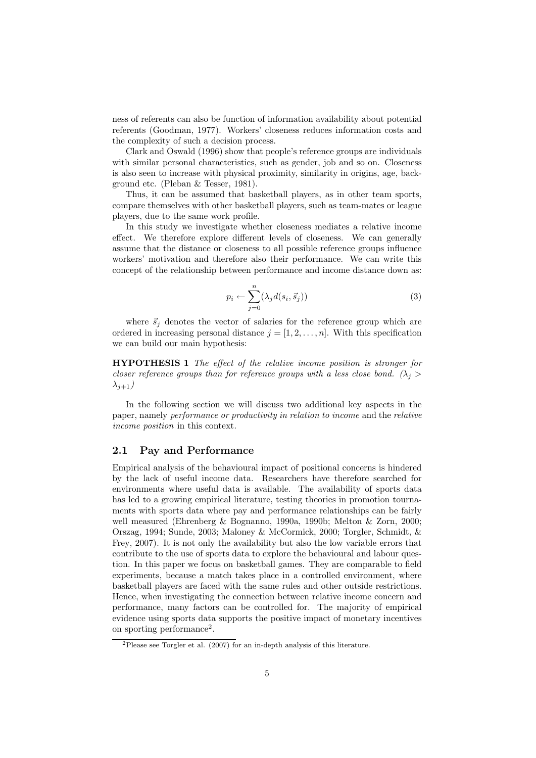ness of referents can also be function of information availability about potential referents (Goodman, 1977). Workers' closeness reduces information costs and the complexity of such a decision process.

Clark and Oswald (1996) show that people's reference groups are individuals with similar personal characteristics, such as gender, job and so on. Closeness is also seen to increase with physical proximity, similarity in origins, age, background etc. (Pleban & Tesser, 1981).

Thus, it can be assumed that basketball players, as in other team sports, compare themselves with other basketball players, such as team-mates or league players, due to the same work profile.

In this study we investigate whether closeness mediates a relative income effect. We therefore explore different levels of closeness. We can generally assume that the distance or closeness to all possible reference groups influence workers' motivation and therefore also their performance. We can write this concept of the relationship between performance and income distance down as:

$$
p_i \leftarrow \sum_{j=0}^n (\lambda_j d(s_i, \vec{s}_j))
$$
\n(3)

where  $\vec{s}_i$  denotes the vector of salaries for the reference group which are ordered in increasing personal distance  $j = [1, 2, \ldots, n]$ . With this specification we can build our main hypothesis:

HYPOTHESIS 1 The effect of the relative income position is stronger for closer reference groups than for reference groups with a less close bond. ( $\lambda_i >$  $\lambda_{j+1}$ )

In the following section we will discuss two additional key aspects in the paper, namely performance or productivity in relation to income and the relative income position in this context.

#### 2.1 Pay and Performance

Empirical analysis of the behavioural impact of positional concerns is hindered by the lack of useful income data. Researchers have therefore searched for environments where useful data is available. The availability of sports data has led to a growing empirical literature, testing theories in promotion tournaments with sports data where pay and performance relationships can be fairly well measured (Ehrenberg & Bognanno, 1990a, 1990b; Melton & Zorn, 2000; Orszag, 1994; Sunde, 2003; Maloney & McCormick, 2000; Torgler, Schmidt, & Frey, 2007). It is not only the availability but also the low variable errors that contribute to the use of sports data to explore the behavioural and labour question. In this paper we focus on basketball games. They are comparable to field experiments, because a match takes place in a controlled environment, where basketball players are faced with the same rules and other outside restrictions. Hence, when investigating the connection between relative income concern and performance, many factors can be controlled for. The majority of empirical evidence using sports data supports the positive impact of monetary incentives on sporting performance<sup>2</sup>.

<sup>2</sup>Please see Torgler et al. (2007) for an in-depth analysis of this literature.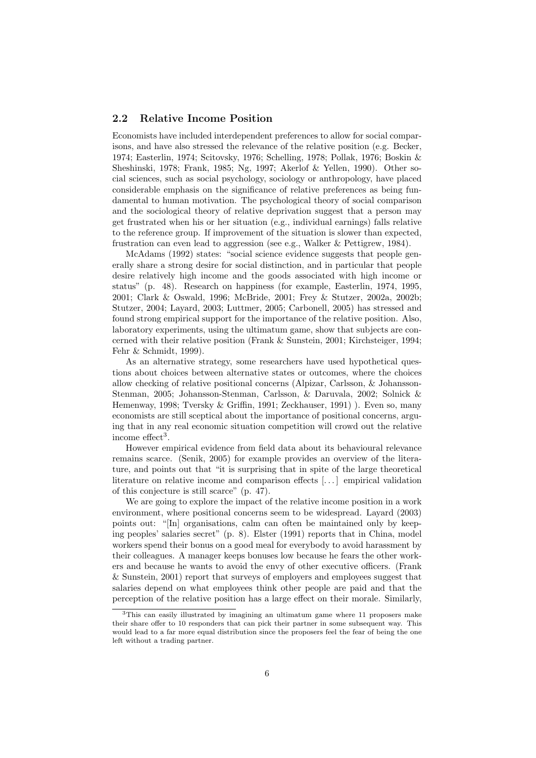#### 2.2 Relative Income Position

Economists have included interdependent preferences to allow for social comparisons, and have also stressed the relevance of the relative position (e.g. Becker, 1974; Easterlin, 1974; Scitovsky, 1976; Schelling, 1978; Pollak, 1976; Boskin & Sheshinski, 1978; Frank, 1985; Ng, 1997; Akerlof & Yellen, 1990). Other social sciences, such as social psychology, sociology or anthropology, have placed considerable emphasis on the significance of relative preferences as being fundamental to human motivation. The psychological theory of social comparison and the sociological theory of relative deprivation suggest that a person may get frustrated when his or her situation (e.g., individual earnings) falls relative to the reference group. If improvement of the situation is slower than expected, frustration can even lead to aggression (see e.g., Walker & Pettigrew, 1984).

McAdams (1992) states: "social science evidence suggests that people generally share a strong desire for social distinction, and in particular that people desire relatively high income and the goods associated with high income or status" (p. 48). Research on happiness (for example, Easterlin, 1974, 1995, 2001; Clark & Oswald, 1996; McBride, 2001; Frey & Stutzer, 2002a, 2002b; Stutzer, 2004; Layard, 2003; Luttmer, 2005; Carbonell, 2005) has stressed and found strong empirical support for the importance of the relative position. Also, laboratory experiments, using the ultimatum game, show that subjects are concerned with their relative position (Frank & Sunstein, 2001; Kirchsteiger, 1994; Fehr & Schmidt, 1999).

As an alternative strategy, some researchers have used hypothetical questions about choices between alternative states or outcomes, where the choices allow checking of relative positional concerns (Alpizar, Carlsson, & Johansson-Stenman, 2005; Johansson-Stenman, Carlsson, & Daruvala, 2002; Solnick & Hemenway, 1998; Tversky & Griffin, 1991; Zeckhauser, 1991) ). Even so, many economists are still sceptical about the importance of positional concerns, arguing that in any real economic situation competition will crowd out the relative income effect<sup>3</sup>.

However empirical evidence from field data about its behavioural relevance remains scarce. (Senik, 2005) for example provides an overview of the literature, and points out that "it is surprising that in spite of the large theoretical literature on relative income and comparison effects [. . . ] empirical validation of this conjecture is still scarce" (p. 47).

We are going to explore the impact of the relative income position in a work environment, where positional concerns seem to be widespread. Layard (2003) points out: "[In] organisations, calm can often be maintained only by keeping peoples' salaries secret" (p. 8). Elster (1991) reports that in China, model workers spend their bonus on a good meal for everybody to avoid harassment by their colleagues. A manager keeps bonuses low because he fears the other workers and because he wants to avoid the envy of other executive officers. (Frank & Sunstein, 2001) report that surveys of employers and employees suggest that salaries depend on what employees think other people are paid and that the perception of the relative position has a large effect on their morale. Similarly,

<sup>3</sup>This can easily illustrated by imagining an ultimatum game where 11 proposers make their share offer to 10 responders that can pick their partner in some subsequent way. This would lead to a far more equal distribution since the proposers feel the fear of being the one left without a trading partner.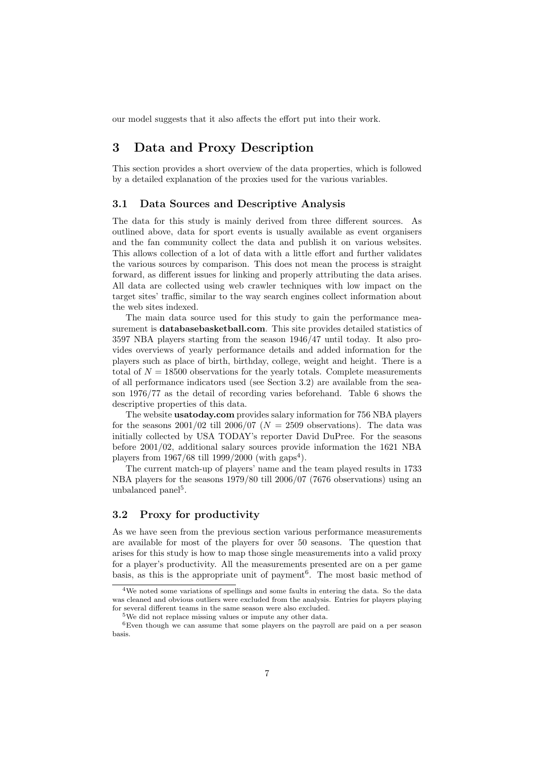our model suggests that it also affects the effort put into their work.

## 3 Data and Proxy Description

This section provides a short overview of the data properties, which is followed by a detailed explanation of the proxies used for the various variables.

### 3.1 Data Sources and Descriptive Analysis

The data for this study is mainly derived from three different sources. As outlined above, data for sport events is usually available as event organisers and the fan community collect the data and publish it on various websites. This allows collection of a lot of data with a little effort and further validates the various sources by comparison. This does not mean the process is straight forward, as different issues for linking and properly attributing the data arises. All data are collected using web crawler techniques with low impact on the target sites' traffic, similar to the way search engines collect information about the web sites indexed.

The main data source used for this study to gain the performance measurement is databasebasketball.com. This site provides detailed statistics of 3597 NBA players starting from the season 1946/47 until today. It also provides overviews of yearly performance details and added information for the players such as place of birth, birthday, college, weight and height. There is a total of  $N = 18500$  observations for the yearly totals. Complete measurements of all performance indicators used (see Section 3.2) are available from the season 1976/77 as the detail of recording varies beforehand. Table 6 shows the descriptive properties of this data.

The website usatoday.com provides salary information for 756 NBA players for the seasons  $2001/02$  till  $2006/07$  ( $N = 2509$  observations). The data was initially collected by USA TODAY's reporter David DuPree. For the seasons before 2001/02, additional salary sources provide information the 1621 NBA players from  $1967/68$  till  $1999/2000$  (with  $\text{gaps}^4$ ).

The current match-up of players' name and the team played results in 1733 NBA players for the seasons 1979/80 till 2006/07 (7676 observations) using an unbalanced panel<sup>5</sup>.

### 3.2 Proxy for productivity

As we have seen from the previous section various performance measurements are available for most of the players for over 50 seasons. The question that arises for this study is how to map those single measurements into a valid proxy for a player's productivity. All the measurements presented are on a per game basis, as this is the appropriate unit of payment<sup>6</sup>. The most basic method of

<sup>4</sup>We noted some variations of spellings and some faults in entering the data. So the data was cleaned and obvious outliers were excluded from the analysis. Entries for players playing for several different teams in the same season were also excluded.

 $5W$ e did not replace missing values or impute any other data.

<sup>6</sup>Even though we can assume that some players on the payroll are paid on a per season basis.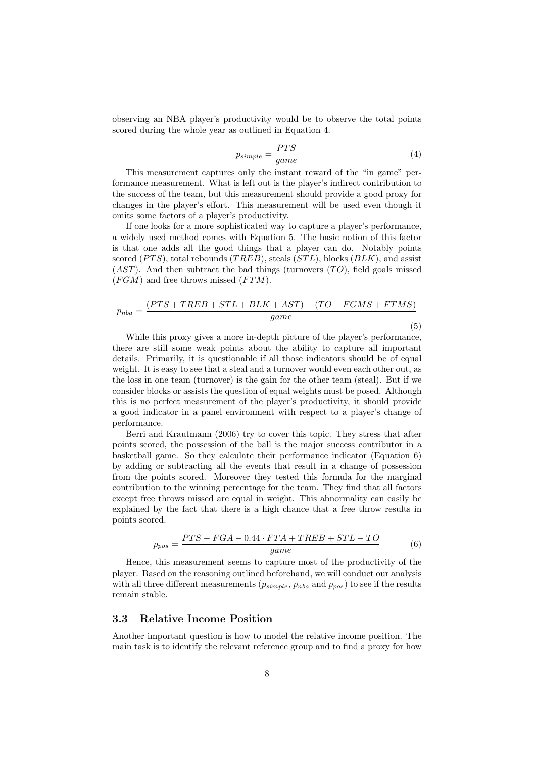observing an NBA player's productivity would be to observe the total points scored during the whole year as outlined in Equation 4.

$$
p_{simple} = \frac{PTS}{game} \tag{4}
$$

This measurement captures only the instant reward of the "in game" performance measurement. What is left out is the player's indirect contribution to the success of the team, but this measurement should provide a good proxy for changes in the player's effort. This measurement will be used even though it omits some factors of a player's productivity.

If one looks for a more sophisticated way to capture a player's performance, a widely used method comes with Equation 5. The basic notion of this factor is that one adds all the good things that a player can do. Notably points scored  $(PTS)$ , total rebounds  $(TRED)$ , steals  $(STL)$ , blocks  $(BLK)$ , and assist  $(AST)$ . And then subtract the bad things (turnovers  $(TO)$ , field goals missed  $(FGM)$  and free throws missed  $(FTM)$ .

$$
p_{nba} = \frac{(PTS + TREB + STL + BLK + AST) - (TO + FGMS + FTMS)}{game}
$$
\n(5)

While this proxy gives a more in-depth picture of the player's performance, there are still some weak points about the ability to capture all important details. Primarily, it is questionable if all those indicators should be of equal weight. It is easy to see that a steal and a turnover would even each other out, as the loss in one team (turnover) is the gain for the other team (steal). But if we consider blocks or assists the question of equal weights must be posed. Although this is no perfect measurement of the player's productivity, it should provide a good indicator in a panel environment with respect to a player's change of performance.

Berri and Krautmann (2006) try to cover this topic. They stress that after points scored, the possession of the ball is the major success contributor in a basketball game. So they calculate their performance indicator (Equation 6) by adding or subtracting all the events that result in a change of possession from the points scored. Moreover they tested this formula for the marginal contribution to the winning percentage for the team. They find that all factors except free throws missed are equal in weight. This abnormality can easily be explained by the fact that there is a high chance that a free throw results in points scored.

$$
p_{pos} = \frac{PTS - FGA - 0.44 \cdot FTA + TREB + STL - TO}{game}
$$
(6)

Hence, this measurement seems to capture most of the productivity of the player. Based on the reasoning outlined beforehand, we will conduct our analysis with all three different measurements  $(p_{simple}, p_{nba} \text{ and } p_{pos})$  to see if the results remain stable.

### 3.3 Relative Income Position

Another important question is how to model the relative income position. The main task is to identify the relevant reference group and to find a proxy for how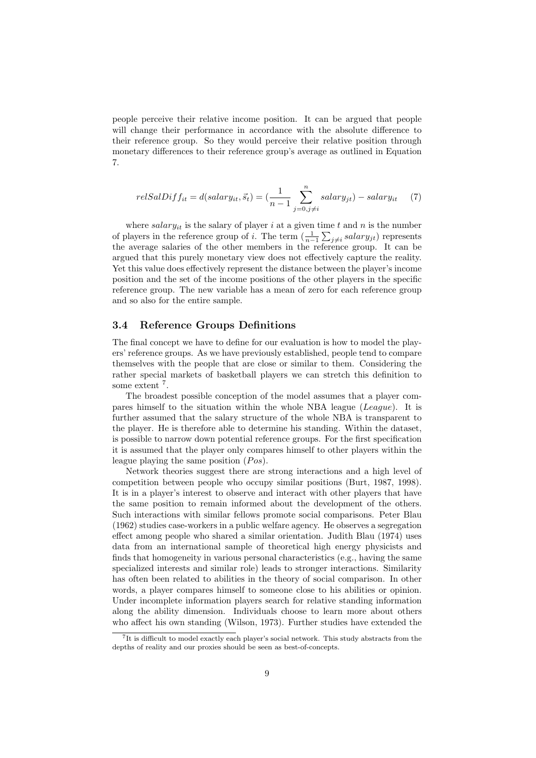people perceive their relative income position. It can be argued that people will change their performance in accordance with the absolute difference to their reference group. So they would perceive their relative position through monetary differences to their reference group's average as outlined in Equation 7.

$$
relSalDiff_{it} = d(salary_{it}, \vec{s}_t) = \left(\frac{1}{n-1} \sum_{j=0, j \neq i}^{n} salary_{jt}\right) - salary_{it} \tag{7}
$$

where salary<sub>it</sub> is the salary of player i at a given time t and n is the number of players in the reference group of *i*. The term  $\left(\frac{1}{n-1}\sum_{j\neq i}salary_{jt}\right)$  represents the average salaries of the other members in the reference group. It can be argued that this purely monetary view does not effectively capture the reality. Yet this value does effectively represent the distance between the player's income position and the set of the income positions of the other players in the specific reference group. The new variable has a mean of zero for each reference group and so also for the entire sample.

#### 3.4 Reference Groups Definitions

The final concept we have to define for our evaluation is how to model the players' reference groups. As we have previously established, people tend to compare themselves with the people that are close or similar to them. Considering the rather special markets of basketball players we can stretch this definition to some extent<sup>7</sup>.

The broadest possible conception of the model assumes that a player compares himself to the situation within the whole NBA league (League). It is further assumed that the salary structure of the whole NBA is transparent to the player. He is therefore able to determine his standing. Within the dataset, is possible to narrow down potential reference groups. For the first specification it is assumed that the player only compares himself to other players within the league playing the same position  $(Pos)$ .

Network theories suggest there are strong interactions and a high level of competition between people who occupy similar positions (Burt, 1987, 1998). It is in a player's interest to observe and interact with other players that have the same position to remain informed about the development of the others. Such interactions with similar fellows promote social comparisons. Peter Blau (1962) studies case-workers in a public welfare agency. He observes a segregation effect among people who shared a similar orientation. Judith Blau (1974) uses data from an international sample of theoretical high energy physicists and finds that homogeneity in various personal characteristics (e.g., having the same specialized interests and similar role) leads to stronger interactions. Similarity has often been related to abilities in the theory of social comparison. In other words, a player compares himself to someone close to his abilities or opinion. Under incomplete information players search for relative standing information along the ability dimension. Individuals choose to learn more about others who affect his own standing (Wilson, 1973). Further studies have extended the

<sup>&</sup>lt;sup>7</sup>It is difficult to model exactly each player's social network. This study abstracts from the depths of reality and our proxies should be seen as best-of-concepts.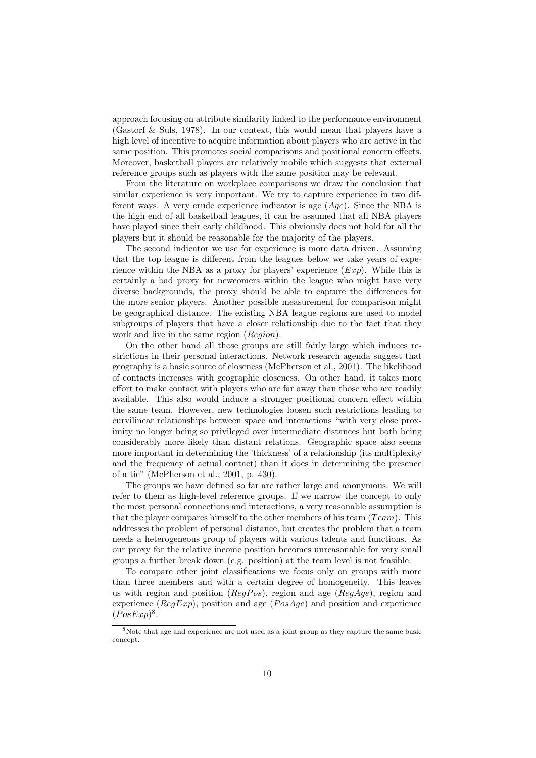approach focusing on attribute similarity linked to the performance environment (Gastorf & Suls, 1978). In our context, this would mean that players have a high level of incentive to acquire information about players who are active in the same position. This promotes social comparisons and positional concern effects. Moreover, basketball players are relatively mobile which suggests that external reference groups such as players with the same position may be relevant.

From the literature on workplace comparisons we draw the conclusion that similar experience is very important. We try to capture experience in two different ways. A very crude experience indicator is age  $(Age)$ . Since the NBA is the high end of all basketball leagues, it can be assumed that all NBA players have played since their early childhood. This obviously does not hold for all the players but it should be reasonable for the majority of the players.

The second indicator we use for experience is more data driven. Assuming that the top league is different from the leagues below we take years of experience within the NBA as a proxy for players' experience  $(Exp)$ . While this is certainly a bad proxy for newcomers within the league who might have very diverse backgrounds, the proxy should be able to capture the differences for the more senior players. Another possible measurement for comparison might be geographical distance. The existing NBA league regions are used to model subgroups of players that have a closer relationship due to the fact that they work and live in the same region (Region).

On the other hand all those groups are still fairly large which induces restrictions in their personal interactions. Network research agenda suggest that geography is a basic source of closeness (McPherson et al., 2001). The likelihood of contacts increases with geographic closeness. On other hand, it takes more effort to make contact with players who are far away than those who are readily available. This also would induce a stronger positional concern effect within the same team. However, new technologies loosen such restrictions leading to curvilinear relationships between space and interactions "with very close proximity no longer being so privileged over intermediate distances but both being considerably more likely than distant relations. Geographic space also seems more important in determining the 'thickness' of a relationship (its multiplexity and the frequency of actual contact) than it does in determining the presence of a tie" (McPherson et al., 2001, p. 430).

The groups we have defined so far are rather large and anonymous. We will refer to them as high-level reference groups. If we narrow the concept to only the most personal connections and interactions, a very reasonable assumption is that the player compares himself to the other members of his team  $(Tean)$ . This addresses the problem of personal distance, but creates the problem that a team needs a heterogeneous group of players with various talents and functions. As our proxy for the relative income position becomes unreasonable for very small groups a further break down (e.g. position) at the team level is not feasible.

To compare other joint classifications we focus only on groups with more than three members and with a certain degree of homogeneity. This leaves us with region and position ( $RegPos$ ), region and age ( $RegAge$ ), region and experience ( $RegExp$ ), position and age ( $PosAge$ ) and position and experience  $(PosExp)^8$ .

<sup>8</sup>Note that age and experience are not used as a joint group as they capture the same basic concept.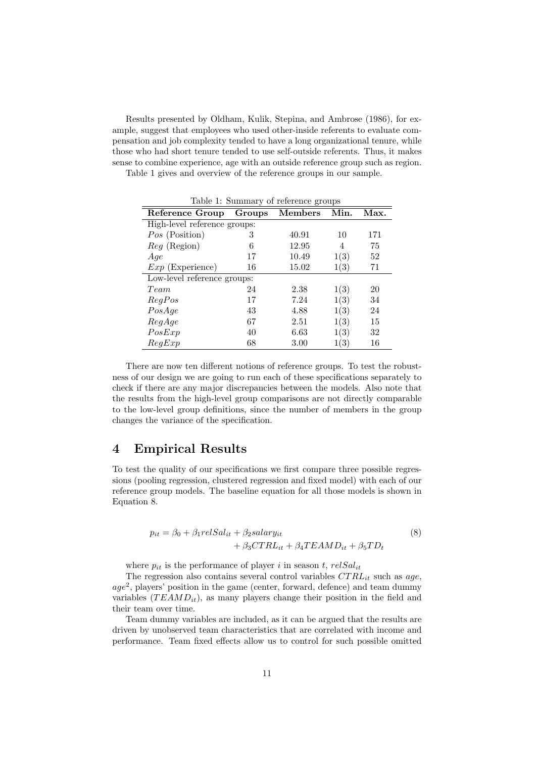Results presented by Oldham, Kulik, Stepina, and Ambrose (1986), for example, suggest that employees who used other-inside referents to evaluate compensation and job complexity tended to have a long organizational tenure, while those who had short tenure tended to use self-outside referents. Thus, it makes sense to combine experience, age with an outside reference group such as region.

Table 1 gives and overview of the reference groups in our sample.

| Table 1: Summary of reference groups |        |         |      |      |  |  |  |  |  |
|--------------------------------------|--------|---------|------|------|--|--|--|--|--|
| Reference Group                      | Groups | Members | Min. | Max. |  |  |  |  |  |
| High-level reference groups:         |        |         |      |      |  |  |  |  |  |
| Pos (Position)                       | 3      | 40.91   | 10   | 171  |  |  |  |  |  |
| <i>Reg</i> (Region)                  | 6      | 12.95   | 4    | 75   |  |  |  |  |  |
| Age                                  | 17     | 10.49   | 1(3) | 52   |  |  |  |  |  |
| $Exp$ (Experience)                   | 16     | 15.02   | 1(3) | 71   |  |  |  |  |  |
| Low-level reference groups:          |        |         |      |      |  |  |  |  |  |
| Team                                 | 24     | 2.38    | 1(3) | 20   |  |  |  |  |  |
| RegPos                               | 17     | 7.24    | 1(3) | 34   |  |  |  |  |  |
| PosAge                               | 43     | 4.88    | 1(3) | 24   |  |  |  |  |  |
| RegAge                               | 67     | 2.51    | 1(3) | 15   |  |  |  |  |  |
| PosExp                               | 40     | 6.63    | 1(3) | 32   |  |  |  |  |  |
| RegExp                               | 68     | 3.00    | 1(3) | 16   |  |  |  |  |  |

There are now ten different notions of reference groups. To test the robustness of our design we are going to run each of these specifications separately to check if there are any major discrepancies between the models. Also note that the results from the high-level group comparisons are not directly comparable to the low-level group definitions, since the number of members in the group changes the variance of the specification.

## 4 Empirical Results

To test the quality of our specifications we first compare three possible regressions (pooling regression, clustered regression and fixed model) with each of our reference group models. The baseline equation for all those models is shown in Equation 8.

$$
p_{it} = \beta_0 + \beta_1 relSal_{it} + \beta_2 salary_{it} + \beta_3 CTRL_{it} + \beta_4 T EAMD_{it} + \beta_5 TD_t
$$
\n(8)

where  $p_{it}$  is the performance of player i in season t,  $relSal_{it}$ 

The regression also contains several control variables  $CTRL_{it}$  such as age, age<sup>2</sup>, players' position in the game (center, forward, defence) and team dummy variables  $(TEAMD_{it})$ , as many players change their position in the field and their team over time.

Team dummy variables are included, as it can be argued that the results are driven by unobserved team characteristics that are correlated with income and performance. Team fixed effects allow us to control for such possible omitted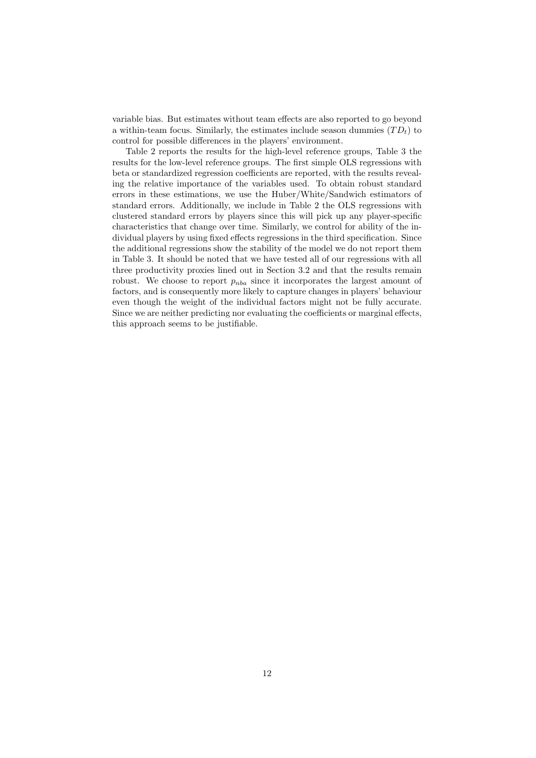variable bias. But estimates without team effects are also reported to go beyond a within-team focus. Similarly, the estimates include season dummies  $(T D_t)$  to control for possible differences in the players' environment.

Table 2 reports the results for the high-level reference groups, Table 3 the results for the low-level reference groups. The first simple OLS regressions with beta or standardized regression coefficients are reported, with the results revealing the relative importance of the variables used. To obtain robust standard errors in these estimations, we use the Huber/White/Sandwich estimators of standard errors. Additionally, we include in Table 2 the OLS regressions with clustered standard errors by players since this will pick up any player-specific characteristics that change over time. Similarly, we control for ability of the individual players by using fixed effects regressions in the third specification. Since the additional regressions show the stability of the model we do not report them in Table 3. It should be noted that we have tested all of our regressions with all three productivity proxies lined out in Section 3.2 and that the results remain robust. We choose to report  $p_{nba}$  since it incorporates the largest amount of factors, and is consequently more likely to capture changes in players' behaviour even though the weight of the individual factors might not be fully accurate. Since we are neither predicting nor evaluating the coefficients or marginal effects, this approach seems to be justifiable.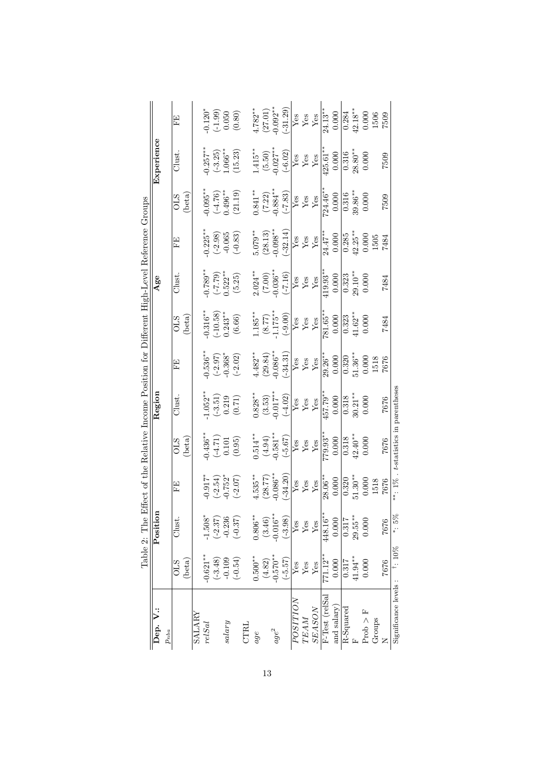|                                                                                               |            |           | EE         |                 |               | $-0.120*$             |                                                                    | $\begin{array}{c} (-1.99) \\ 0.050 \end{array}$ | $(0.80)$  |             | $4.782**$<br>(27.01)<br>0.092** |                      | $\frac{1.31.29}{Yes}$<br>Yes<br>Yes<br>Xes<br>24.13**                                                                                                                                                                                                                                                                                                                                                       |             |             |                                                                        |                |             | $\frac{0.284}{42.18**}$       |                               | 0.000                | 1506   | 7509 |                             |
|-----------------------------------------------------------------------------------------------|------------|-----------|------------|-----------------|---------------|-----------------------|--------------------------------------------------------------------|-------------------------------------------------|-----------|-------------|---------------------------------|----------------------|-------------------------------------------------------------------------------------------------------------------------------------------------------------------------------------------------------------------------------------------------------------------------------------------------------------------------------------------------------------------------------------------------------------|-------------|-------------|------------------------------------------------------------------------|----------------|-------------|-------------------------------|-------------------------------|----------------------|--------|------|-----------------------------|
|                                                                                               | Experience |           | Clust      |                 |               | $0.257***$            | $\begin{array}{c} (-3.25) \\ 1.066^{**} \end{array}$               |                                                 | (15.23)   |             |                                 |                      | $\begin{tabular}{c c} 1.415** \\ (5.50) \\ -0.027** \\ \hline Yes \\ \hline Yes \\ \hline Yes \\ \hline Yes \\ \hline Yes \\ \hline \end{tabular}$                                                                                                                                                                                                                                                          |             |             |                                                                        | $425.61**$     | 0.000       | 0.316                         | $28.80**$                     | 0.000                |        | 7509 |                             |
|                                                                                               |            |           | <b>STO</b> | $(\text{beta})$ |               | $0.095**$             | $(-4.76)$<br>0.496**                                               |                                                 | (21.19)   |             |                                 |                      | $\frac{1}{(7.22)}$<br>$-0.884**$<br>$-0.884**$<br>$\frac{1}{(7.22)}$<br>$\frac{1}{(7.83)}$<br>$\frac{1}{(7.83)}$<br>$\frac{1}{(7.83)}$<br>$\frac{1}{(7.83)}$                                                                                                                                                                                                                                                |             |             |                                                                        |                | 0.000       | 0.316                         | $39.86***$                    | 0.000                |        | 7509 |                             |
|                                                                                               |            |           | FE         |                 |               | $0.225***$            | $(-2.98)$<br>-0.065                                                |                                                 | $(-0.83)$ |             |                                 |                      | $\begin{array}{l} \text{5.079}^{**} \\ (28.13) \\ \text{-0.098}^{**} \\ \text{6} \\ \text{Yes} \\ \text{Yes} \\ \text{Yes} \\ \text{Yes} \\ \text{Yes} \\ \text{14.17}^{**} \\ \text{Yes} \\ \text{15.14} \\ \text{Yes} \\ \text{16.13} \\ \text{Yes} \\ \text{17.14} \\ \text{18.15} \\ \text{19.16} \\ \text{19.17}^{**} \\ \text{19.18} \\ \text{19.18} \\ \text{19.19} \\ \text{19.19} \\ \text{19.19}$ |             |             |                                                                        |                |             |                               | $\overline{0.285}$<br>42.25** | $0.000$<br>1505      |        | 7484 |                             |
|                                                                                               | Age        |           | Clust.     |                 |               |                       | $\begin{array}{c} 0.789^{**} \\ (-7.79) \\ 0.522^{**} \end{array}$ |                                                 | (5.25)    |             |                                 |                      | $\begin{array}{l} 2.024^{**} \ (7.00) \ (7.00) \ (-7.16) \ \text{Yes} \ \text{Yes} \ \text{Yes} \ \text{Yes} \ \text{Yes} \ \text{Yes} \end{array}$                                                                                                                                                                                                                                                         |             |             |                                                                        |                | 0.000       |                               | $\frac{0.323}{29.10}$         | 0.000                |        | 7484 |                             |
|                                                                                               |            |           | STO        | (beta)          |               | $0.316***$            | $(-10.58)$<br>0.243**                                              |                                                 | $(6.66)$  |             |                                 |                      | $\begin{array}{l} 1.185^{**} \\ (8.77) \\ (1.175^{**} \\ (-9.00) \\ \hline Y \& 8 \\ Y \& 1.175^{**} \\ Y \& 1.175^{**} \\ Y \& 1.65^{**} \\ \hline Y \& 1.65^{**} \\ \end{array}$                                                                                                                                                                                                                          |             |             |                                                                        |                |             | $\overline{0.323}$<br>41.62** |                               | 0.000                |        | 7484 |                             |
|                                                                                               |            |           | EE         |                 |               | $-0.536**$            | $(-2.97)$<br>$-0.368$ <sup>*</sup><br>$(-2.02)$                    |                                                 |           |             |                                 |                      | $\begin{array}{c} 4.482^{**} \\ (29.84) \\ -0.086^{**} \\ \hline Y_{88} \\ Y_{88} \\ Y_{88} \\ Y_{89} \\ Y_{89} \\ Y_{89} \\ Y_{80} \\ Y_{87} \\ Y_{89} \\ Y_{80} \\ Y_{87} \\ Y_{87} \\ Y_{88} \\ Y_{89} \\ Y_{80} \\ Y_{87} \\ Y_{87} \\ Y_{88} \\ Y_{89} \\ Y_{80} \\ Y_{80} \\ Y_{80} \\ Y_{80} \\ Y_{80} \\ Y_{80} \\ Y_{80} \\ Y_{80} \\ Y_{80} \\ Y_{80} \\ Y_{80} \\ Y_{$                           |             |             |                                                                        |                | 0.000       | 0.320                         | $51.36***$                    | $\frac{0.000}{1518}$ |        | 7676 |                             |
|                                                                                               | Region     |           | Clust.     |                 |               | $1.052**$             | $\begin{pmatrix} -3.51 \\ -0.219 \\ 0.71 \end{pmatrix}$            |                                                 |           |             |                                 |                      | $\begin{array}{c} 0.828^{**} \\ (3.53) \\ (3.53) \\ (-4.02) \\ \hline \text{Yes} \\ \text{Yes} \\ \text{Yes} \\ \text{Yes} \\ \text{Yes} \\ \text{Yes} \\ \text{Yes} \\ \text{Yes} \\ \text{Yes} \\ \end{array}$                                                                                                                                                                                            |             |             |                                                                        |                |             | $\frac{0.318}{30.21}$         |                               | 0.000                |        | 7676 |                             |
| lable 2: The Effect of the Kelative Income Position for Different High-Level Keference Groups |            |           | STO        | (beta)          |               | $0.436***$            | $(17.4)$<br>0.101                                                  |                                                 | (0.95)    |             | $0.514***$                      |                      | $\begin{array}{c} (4.94) \\ -0.581^{**} \\ ( -5.67) \\ \hline Yes \\ Yes \\ Yes \\ Yes \\ Yes \\ 779.93^{**} \\ \end{array}$                                                                                                                                                                                                                                                                                |             |             |                                                                        |                |             | $\frac{0.318}{42.40**}$       |                               | 0.000                |        | 7676 | t-statistics in parentheses |
|                                                                                               |            |           | EE         |                 |               | $-0.917$ <sup>*</sup> | $(-2.54)$<br>$(-2.52^*$<br>$(-2.07)$                               |                                                 |           |             | $4.535***$                      |                      | $\begin{array}{c} (28.77) \\ -0.086^{**} \\ (-34.20) \end{array}$                                                                                                                                                                                                                                                                                                                                           |             |             | $\frac{V_{\text{BS}}}{Y_{\text{BS}}}$<br>$\frac{V_{\text{BS}}}{28.06}$ |                |             |                               | $\frac{0.320}{51.30}$         | 0.000                | 1518   | 7676 | **: 1%                      |
|                                                                                               | Position   |           | Clust.     |                 |               | $-1.508*$             |                                                                    | $(-2.37)$<br>-0.236                             | $(-0.37)$ |             | $0.806^{\ast\ast}$              | $(3.46)$<br>-0.016** | $(-3.98)$                                                                                                                                                                                                                                                                                                                                                                                                   | ${\rm Yes}$ | ${\rm Yes}$ | ${\rm Yes}$                                                            | 448.16**       | 0.000       | 0.317                         | $29.55***$                    | 0.000                |        | 7676 | $*:5\%$                     |
|                                                                                               |            |           | <b>OLS</b> | $(\text{beta})$ |               | $-0.621**$            | $(-3.48)$                                                          | $-0.109$                                        | $(-0.54)$ |             | $0.500^{**}$                    | $(4.82)$<br>-0.570** | $(-5.57)$                                                                                                                                                                                                                                                                                                                                                                                                   | Yes         | ${\rm Yes}$ | ${\rm Yes}$                                                            | $771.12**$     | 0.000       | 0.317                         | 41.94**                       | 0.000                |        | 7676 | <sup>†</sup> : 10%          |
|                                                                                               | Dep. V.:   | $p_{nba}$ |            |                 | <b>SALARY</b> | relSal                |                                                                    | salary                                          |           | <b>CTRL</b> | $age$                           | $age^2$              |                                                                                                                                                                                                                                                                                                                                                                                                             | POSITION    | <b>TEAM</b> | <b>SEASON</b>                                                          | F-Test (relSal | and salary) | $\overline{\text{R-Squared}}$ |                               | $\rm Prob > F$       | Groups |      | Significance levels:        |

| l                                                  |
|----------------------------------------------------|
| I                                                  |
| ļ<br>l                                             |
| ١<br>$\vdots$                                      |
| $\ddot{\hat{}}$<br>ׇ֚֡֡֡֡                          |
|                                                    |
| ļ                                                  |
| ľ                                                  |
|                                                    |
|                                                    |
|                                                    |
| $\epsilon$ is the contract of $\epsilon$<br>֕<br>l |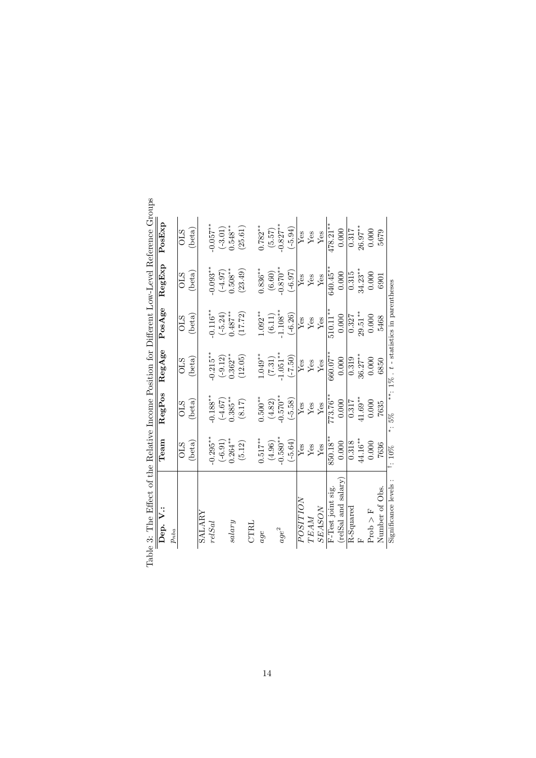| ble 3: The Effect of the Relative Income Position for Different Low-Level Reference Groups |                      |                 |                                             |                      |                      |             |
|--------------------------------------------------------------------------------------------|----------------------|-----------------|---------------------------------------------|----------------------|----------------------|-------------|
| Dep. V.:                                                                                   | Team                 | RegPos          | RegAge                                      | PosAge               | RegExp               | PosExp      |
| $p_{nba}$                                                                                  |                      |                 |                                             |                      |                      |             |
|                                                                                            | <b>OLS</b>           | <b>OLS</b>      | <b>OLS</b>                                  | <b>OLS</b>           | <b>OLS</b>           | <b>OLS</b>  |
|                                                                                            | (beta)               | $(\text{beta})$ | $(\text{beta})$                             | (beta)               | (beta)               | (beta)      |
| SALARY                                                                                     |                      |                 |                                             |                      |                      |             |
| relSal                                                                                     | $-0.295**$           | $0.188**$       | $0.215**$                                   | $-0.116**$           | $-0.093**$           | $-0.057***$ |
|                                                                                            | $(-6.91)$            | $(-4.67)$       | $(-9.12)$                                   | $(-5.24)$            | $(70.4 - )$          | $(-3.01)$   |
| $_{salign}$                                                                                | $0.264***$           | $0.385**$       | $0.362**$                                   | $0.487***$           | $0.508***$           | $0.548**$   |
|                                                                                            | (5.12)               | (8.17)          | (12.05)                                     | (17.72)              | (23.49)              | (25.61)     |
| CTRL                                                                                       |                      |                 |                                             |                      |                      |             |
| age                                                                                        | $0.517**$            | $0.500**$       | $1.049**$                                   | $1.092**$            | $0.836**$            | $0.782**$   |
|                                                                                            | (4.96)               | (4.82)          | (7.31)                                      | $(6.11)$<br>-1.108** |                      | (5.57)      |
| $age^2$                                                                                    | $-0.580**$           | $-0.570**$      | $-1.051***$                                 |                      | $(6.60)$<br>-0.870** | $-0.827**$  |
|                                                                                            | $(-5.64)$            | $(-5.58)$       | $(-7.50)$                                   | $(-6.26)$            | $(-6.97)$            | $(-5.94)$   |
| POSITION                                                                                   | ${\rm Yes}$          | ${\rm Yes}$     | ${\rm Yes}$                                 | ${\rm Yes}$          | ${\rm Yes}$          | ${\rm Yes}$ |
| TEAM                                                                                       | ${\rm Yes}$          | ${\rm Yes}$     | $\rm Yes$                                   | ${\rm Yes}$          | ${\rm Yes}$          | ${\rm Yes}$ |
| <b>SEASON</b>                                                                              | ${\rm Yes}$          | ${\rm Yes}$     | ${\rm Yes}$                                 | ${\rm Yes}$          | ${\rm Yes}$          | Yes         |
| F-Test joint sig.                                                                          | 850.18**             | 773.76**        | $660.07***$                                 | $510.11*$            | 640.45*              | $478.21***$ |
| (relSal and salary)                                                                        | 0.000                | 0.000           | 0.000                                       | 0.000                | 0.000                | 0.000       |
| R-Squared                                                                                  | 0.318                | 0.317           | 0.319                                       | 0.327                | 0.315                | 0.317       |
|                                                                                            | $44.16***$           | $41.69***$      | $36.27***$                                  | $29.51***$           | $34.23***$           | $26.97***$  |
| $Proof$ > F                                                                                | 0.000                | 0.000           | 0.000                                       | 0.000                | 0.000                | 0.000       |
| Number of Obs.                                                                             | 7636                 | 7635            | 6850                                        | 5468                 | 6901                 | 5679        |
| Significance levels:                                                                       | $\overline{1}$ : 10% | $* : 5\%$       | **: $1\%$ . $t$ - statistics in parentheses |                      |                      |             |

Table 3: The Effect of the Relative Income Position for Different Low-Level Reference Groups Ğ  $\ddot{\phantom{1}}$  $\ddot{\phantom{1}}$  $\overrightarrow{c}$  $\epsilon$  $\Gamma$ al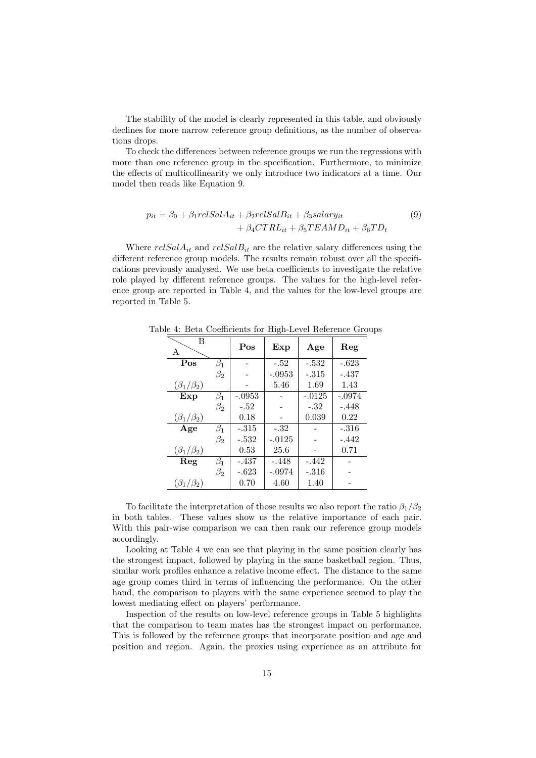The stability of the model is clearly represented in this table, and obviously declines for more narrow reference group definitions, as the number of observations drops.

To check the differences between reference groups we run the regressions with more than one reference group in the specification. Furthermore, to minimize the effects of multicollinearity we only introduce two indicators at a time. Our model then reads like Equation 9.

$$
p_{it} = \beta_0 + \beta_1 relSalA_{it} + \beta_2 relSalB_{it} + \beta_3 salary_{it}
$$
  
+  $\beta_4 CTRL_{it} + \beta_5 T EAMD_{it} + \beta_6 TD_t$  (9)

Where  $relSalA_{it}$  and  $relSalB_{it}$  are the relative salary differences using the different reference group models. The results remain robust over all the specifications previously analysed. We use beta coefficients to investigate the relative role played by different reference groups. The values for the high-level reference group are reported in Table 4, and the values for the low-level groups are reported in Table 5.

| $\overline{B}$<br>A |           | Pos      | Exp      | Age      | Reg      |
|---------------------|-----------|----------|----------|----------|----------|
| Pos                 | $\beta_1$ |          | $-.52$   | $-.532$  | $-.623$  |
|                     | $\beta_2$ |          | $-.0953$ | $-.315$  | $-.437$  |
| $(\beta_1/\beta_2)$ |           |          | 5.46     | 1.69     | 1.43     |
| Exp                 | $\beta_1$ | $-.0953$ |          | $-.0125$ | $-.0974$ |
|                     | $\beta_2$ | $-.52$   |          | $-.32$   | $-.448$  |
| $(\beta_1/\beta_2)$ |           | 0.18     |          | 0.039    | 0.22     |
| Age                 | $\beta_1$ | $-.315$  | $-.32$   |          | $-.316$  |
|                     | $\beta_2$ | $-.532$  | $-.0125$ |          | $-.442$  |
| $(\beta_1/\beta_2)$ |           | 0.53     | 25.6     |          | 0.71     |
| Reg                 | $\beta_1$ | $-.437$  | $-.448$  | $-.442$  |          |
|                     | $\beta_2$ | $-.623$  | $-.0974$ | $-.316$  |          |
| $(\beta_1/\beta_2)$ |           | 0.70     | 4.60     | 1.40     |          |

Table 4: Beta Coefficients for High-Level Reference Groups

To facilitate the interpretation of those results we also report the ratio  $\beta_1/\beta_2$ in both tables. These values show us the relative importance of each pair. With this pair-wise comparison we can then rank our reference group models accordingly.

Looking at Table 4 we can see that playing in the same position clearly has the strongest impact, followed by playing in the same basketball region. Thus, similar work profiles enhance a relative income effect. The distance to the same age group comes third in terms of influencing the performance. On the other hand, the comparison to players with the same experience seemed to play the lowest mediating effect on players' performance.

Inspection of the results on low-level reference groups in Table 5 highlights that the comparison to team mates has the strongest impact on performance. This is followed by the reference groups that incorporate position and age and position and region. Again, the proxies using experience as an attribute for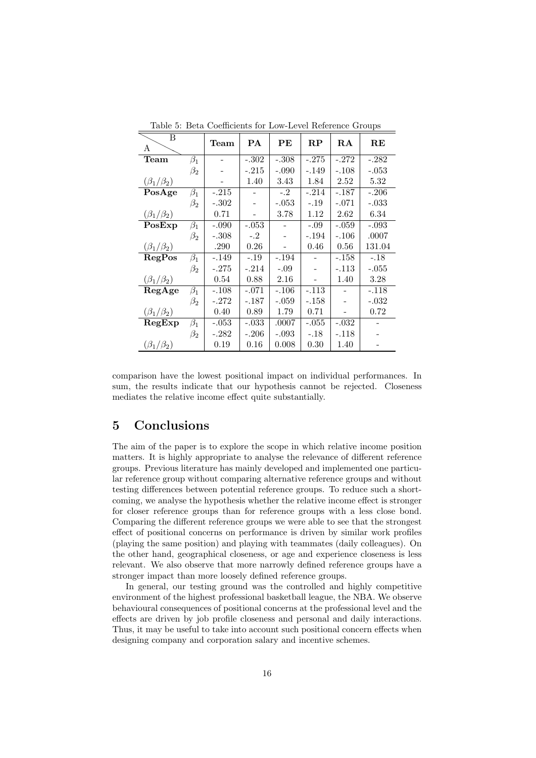| В<br>A              |           | Team    | PA      | PЕ      | $\mathbf{RP}$ | ${\bf RA}$ | $\mathbf{RE}$ |
|---------------------|-----------|---------|---------|---------|---------------|------------|---------------|
| Team                | $\beta_1$ |         | $-.302$ | $-.308$ | $-.275$       | $-.272$    | $-.282$       |
|                     | $\beta_2$ |         | $-.215$ | $-.090$ | -.149         | $-.108$    | $-.053$       |
| $(\beta_1/\beta_2)$ |           |         | 1.40    | 3.43    | 1.84          | 2.52       | 5.32          |
| PosAge              | $\beta_1$ | $-.215$ |         | $-.2$   | $-.214$       | $-.187$    | $-.206$       |
|                     | $\beta_2$ | $-.302$ |         | $-.053$ | $-.19$        | $-.071$    | $-.033$       |
| $(\beta_1/\beta_2)$ |           | 0.71    |         | 3.78    | 1.12          | 2.62       | 6.34          |
| PosExp              | $\beta_1$ | $-.090$ | $-.053$ |         | $-.09$        | $-.059$    | $-.093$       |
|                     | $\beta_2$ | $-.308$ | $-.2$   |         | $-.194$       | $-.106$    | .0007         |
| $(\beta_1/\beta_2)$ |           | .290    | 0.26    |         | 0.46          | 0.56       | 131.04        |
| RegPos              | $\beta_1$ | -.149   | $-.19$  | $-.194$ |               | $-.158$    | $-.18$        |
|                     | $\beta_2$ | -.275   | $-.214$ | $-.09$  |               | $-.113$    | $-.055$       |
| $(\beta_1/\beta_2)$ |           | 0.54    | 0.88    | 2.16    |               | 1.40       | 3.28          |
| RegAge              | $\beta_1$ | $-.108$ | $-.071$ | $-.106$ | -.113         |            | -.118         |
|                     | $\beta_2$ | -.272   | $-.187$ | $-.059$ | -.158         |            | $-.032$       |
| $(\beta_1/\beta_2)$ |           | 0.40    | 0.89    | 1.79    | 0.71          |            | 0.72          |
| RegExp              | $\beta_1$ | $-.053$ | $-.033$ | .0007   | $-.055$       | $-.032$    |               |
|                     | $\beta_2$ | -.282   | $-.206$ | $-.093$ | $-.18$        | $-.118$    |               |
| $(\beta_1/\beta_2)$ |           | 0.19    | 0.16    | 0.008   | 0.30          | 1.40       |               |

Table 5: Beta Coefficients for Low-Level Reference Groups

## 5 Conclusions

The aim of the paper is to explore the scope in which relative income position matters. It is highly appropriate to analyse the relevance of different reference groups. Previous literature has mainly developed and implemented one particular reference group without comparing alternative reference groups and without testing differences between potential reference groups. To reduce such a shortcoming, we analyse the hypothesis whether the relative income effect is stronger for closer reference groups than for reference groups with a less close bond. Comparing the different reference groups we were able to see that the strongest effect of positional concerns on performance is driven by similar work profiles (playing the same position) and playing with teammates (daily colleagues). On the other hand, geographical closeness, or age and experience closeness is less relevant. We also observe that more narrowly defined reference groups have a stronger impact than more loosely defined reference groups.

In general, our testing ground was the controlled and highly competitive environment of the highest professional basketball league, the NBA. We observe behavioural consequences of positional concerns at the professional level and the effects are driven by job profile closeness and personal and daily interactions. Thus, it may be useful to take into account such positional concern effects when designing company and corporation salary and incentive schemes.

comparison have the lowest positional impact on individual performances. In sum, the results indicate that our hypothesis cannot be rejected. Closeness mediates the relative income effect quite substantially.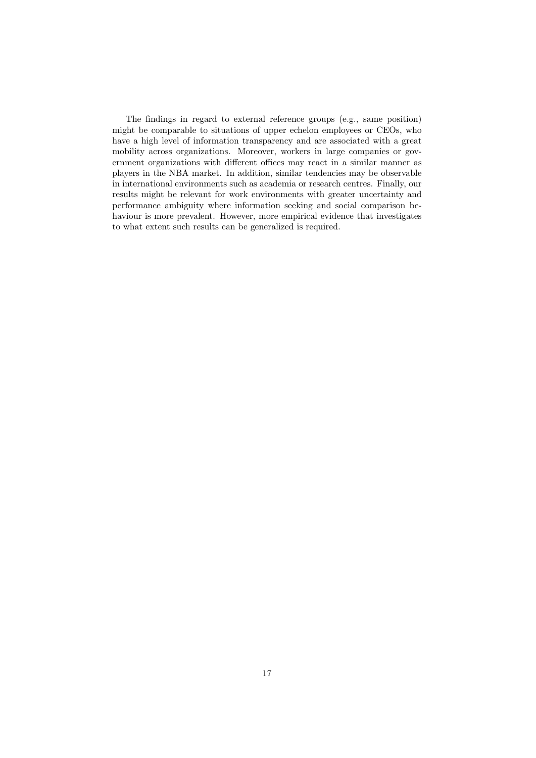The findings in regard to external reference groups (e.g., same position) might be comparable to situations of upper echelon employees or CEOs, who have a high level of information transparency and are associated with a great mobility across organizations. Moreover, workers in large companies or government organizations with different offices may react in a similar manner as players in the NBA market. In addition, similar tendencies may be observable in international environments such as academia or research centres. Finally, our results might be relevant for work environments with greater uncertainty and performance ambiguity where information seeking and social comparison behaviour is more prevalent. However, more empirical evidence that investigates to what extent such results can be generalized is required.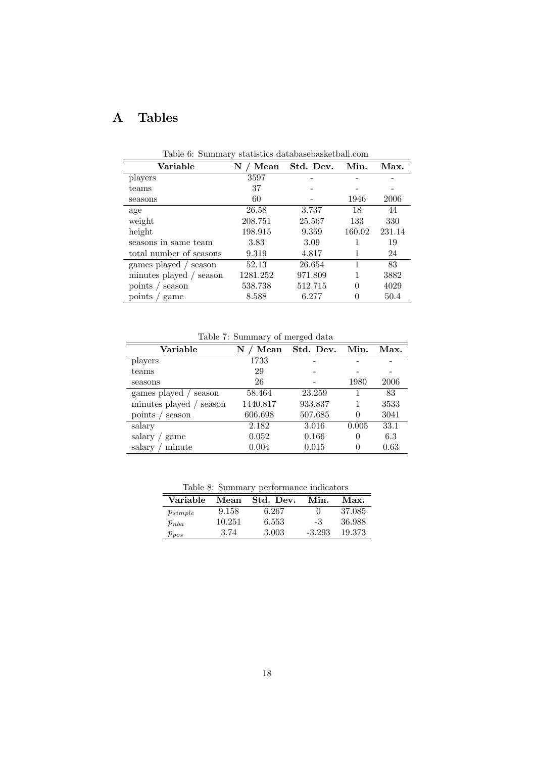# A Tables

| rapic 0. Dummary beautifies databasebasite touri.com |           |           |        |        |  |  |  |
|------------------------------------------------------|-----------|-----------|--------|--------|--|--|--|
| Variable                                             | N<br>Mean | Std. Dev. | Min.   | Max.   |  |  |  |
| players                                              | 3597      |           |        |        |  |  |  |
| teams                                                | 37        |           |        |        |  |  |  |
| seasons                                              | 60        |           | 1946   | 2006   |  |  |  |
| age                                                  | 26.58     | 3.737     | 18     | 44     |  |  |  |
| weight                                               | 208.751   | 25.567    | 133    | 330    |  |  |  |
| height                                               | 198.915   | 9.359     | 160.02 | 231.14 |  |  |  |
| seasons in same team                                 | 3.83      | 3.09      |        | 19     |  |  |  |
| total number of seasons                              | 9.319     | 4.817     |        | 24     |  |  |  |
| games played / season                                | 52.13     | 26.654    |        | 83     |  |  |  |
| minutes played / season                              | 1281.252  | 971.809   |        | 3882   |  |  |  |
| points / season                                      | 538.738   | 512.715   | 0      | 4029   |  |  |  |
| points / game                                        | 8.588     | 6.277     | 0      | 50.4   |  |  |  |

Table 6: Summary statistics databasebasketball.com

Table 7: Summary of merged data

|                         | Lable 1. Dunninal y of filefged data |                |       |      |
|-------------------------|--------------------------------------|----------------|-------|------|
| Variable                | Mean<br>N                            | Std. Dev. Min. |       | Max. |
| players                 | 1733                                 |                |       |      |
| teams                   | 29                                   |                |       |      |
| seasons                 | 26                                   |                | 1980  | 2006 |
| games played / season   | 58.464                               | 23.259         |       | 83   |
| minutes played / season | 1440.817                             | 933.837        |       | 3533 |
| points / season         | 606.698                              | 507.685        | 0     | 3041 |
| salary                  | 2.182                                | 3.016          | 0.005 | 33.1 |
| salary /<br>game        | 0.052                                | 0.166          | 0     | 6.3  |
| minute<br>salary        | 0.004                                | 0.015          | 0     | 0.63 |

Table 8: Summary performance indicators

|              |        | Lable of Dummary performance indicators |            |        |
|--------------|--------|-----------------------------------------|------------|--------|
| Variable     | Mean   | Std. Dev.                               | Min.       | Max.   |
| $p_{simple}$ | 9.158  | 6.267                                   | $^{\circ}$ | 37.085 |
| $p_{nba}$    | 10.251 | 6.553                                   | -3         | 36.988 |
| $p_{pos}$    | 3.74   | 3.003                                   | $-3.293$   | 19.373 |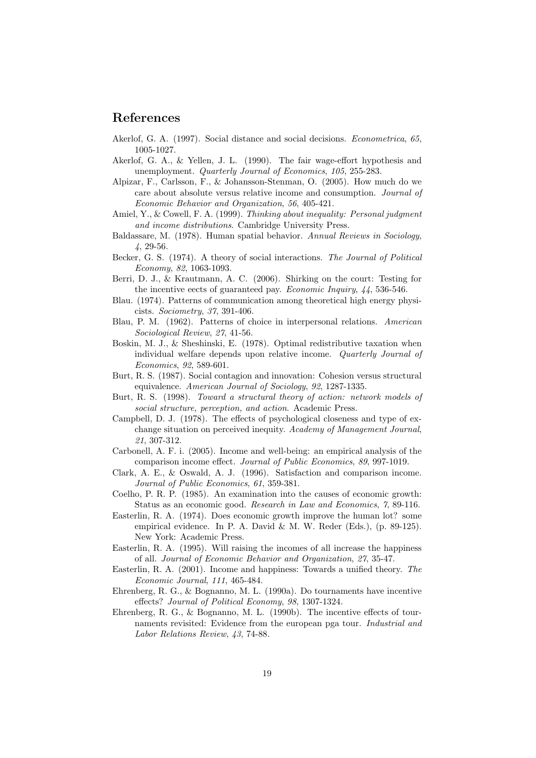## References

- Akerlof, G. A. (1997). Social distance and social decisions. *Econometrica*, 65, 1005-1027.
- Akerlof, G. A., & Yellen, J. L. (1990). The fair wage-effort hypothesis and unemployment. Quarterly Journal of Economics, 105, 255-283.
- Alpizar, F., Carlsson, F., & Johansson-Stenman, O. (2005). How much do we care about absolute versus relative income and consumption. Journal of Economic Behavior and Organization, 56, 405-421.
- Amiel, Y., & Cowell, F. A. (1999). Thinking about inequality: Personal judgment and income distributions. Cambridge University Press.
- Baldassare, M. (1978). Human spatial behavior. Annual Reviews in Sociology, 4, 29-56.
- Becker, G. S. (1974). A theory of social interactions. The Journal of Political Economy, 82, 1063-1093.
- Berri, D. J., & Krautmann, A. C. (2006). Shirking on the court: Testing for the incentive eects of guaranteed pay. Economic Inquiry, 44, 536-546.
- Blau. (1974). Patterns of communication among theoretical high energy physicists. Sociometry, 37, 391-406.
- Blau, P. M. (1962). Patterns of choice in interpersonal relations. American Sociological Review, 27, 41-56.
- Boskin, M. J., & Sheshinski, E. (1978). Optimal redistributive taxation when individual welfare depends upon relative income. Quarterly Journal of Economics, 92, 589-601.
- Burt, R. S. (1987). Social contagion and innovation: Cohesion versus structural equivalence. American Journal of Sociology, 92, 1287-1335.
- Burt, R. S. (1998). Toward a structural theory of action: network models of social structure, perception, and action. Academic Press.
- Campbell, D. J. (1978). The effects of psychological closeness and type of exchange situation on perceived inequity. Academy of Management Journal, 21, 307-312.
- Carbonell, A. F. i. (2005). Income and well-being: an empirical analysis of the comparison income effect. Journal of Public Economics, 89, 997-1019.
- Clark, A. E., & Oswald, A. J. (1996). Satisfaction and comparison income. Journal of Public Economics, 61, 359-381.
- Coelho, P. R. P. (1985). An examination into the causes of economic growth: Status as an economic good. Research in Law and Economics, 7, 89-116.
- Easterlin, R. A. (1974). Does economic growth improve the human lot? some empirical evidence. In P. A. David & M. W. Reder (Eds.), (p. 89-125). New York: Academic Press.
- Easterlin, R. A. (1995). Will raising the incomes of all increase the happiness of all. Journal of Economic Behavior and Organization, 27, 35-47.
- Easterlin, R. A. (2001). Income and happiness: Towards a unified theory. The Economic Journal, 111, 465-484.
- Ehrenberg, R. G., & Bognanno, M. L. (1990a). Do tournaments have incentive effects? Journal of Political Economy, 98, 1307-1324.
- Ehrenberg, R. G., & Bognanno, M. L. (1990b). The incentive effects of tournaments revisited: Evidence from the european pga tour. Industrial and Labor Relations Review, 43, 74-88.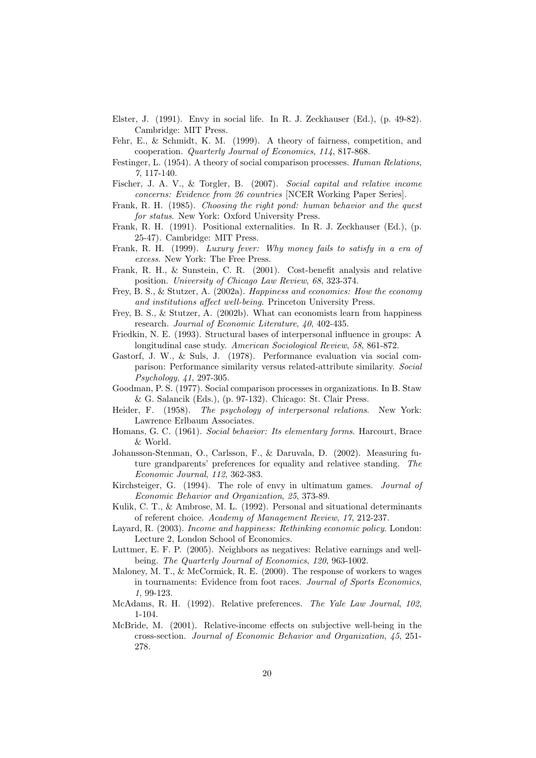- Elster, J. (1991). Envy in social life. In R. J. Zeckhauser (Ed.), (p. 49-82). Cambridge: MIT Press.
- Fehr, E., & Schmidt, K. M. (1999). A theory of fairness, competition, and cooperation. Quarterly Journal of Economics, 114, 817-868.
- Festinger, L. (1954). A theory of social comparison processes. Human Relations, 7, 117-140.
- Fischer, J. A. V., & Torgler, B. (2007). Social capital and relative income concerns: Evidence from 26 countries [NCER Working Paper Series].
- Frank, R. H. (1985). Choosing the right pond: human behavior and the quest for status. New York: Oxford University Press.
- Frank, R. H. (1991). Positional externalities. In R. J. Zeckhauser (Ed.), (p. 25-47). Cambridge: MIT Press.
- Frank, R. H. (1999). Luxury fever: Why money fails to satisfy in a era of excess. New York: The Free Press.
- Frank, R. H., & Sunstein, C. R. (2001). Cost-benefit analysis and relative position. University of Chicago Law Review, 68, 323-374.
- Frey, B. S., & Stutzer, A. (2002a). Happiness and economics: How the economy and institutions affect well-being. Princeton University Press.
- Frey, B. S., & Stutzer, A. (2002b). What can economists learn from happiness research. Journal of Economic Literature, 40, 402-435.
- Friedkin, N. E. (1993). Structural bases of interpersonal influence in groups: A longitudinal case study. American Sociological Review, 58, 861-872.
- Gastorf, J. W., & Suls, J. (1978). Performance evaluation via social comparison: Performance similarity versus related-attribute similarity. Social Psychology, 41, 297-305.
- Goodman, P. S. (1977). Social comparison processes in organizations. In B. Staw & G. Salancik (Eds.), (p. 97-132). Chicago: St. Clair Press.
- Heider, F. (1958). The psychology of interpersonal relations. New York: Lawrence Erlbaum Associates.
- Homans, G. C. (1961). Social behavior: Its elementary forms. Harcourt, Brace & World.
- Johansson-Stenman, O., Carlsson, F., & Daruvala, D. (2002). Measuring future grandparents' preferences for equality and relativee standing. The Economic Journal, 112, 362-383.
- Kirchsteiger, G. (1994). The role of envy in ultimatum games. Journal of Economic Behavior and Organization, 25, 373-89.
- Kulik, C. T., & Ambrose, M. L. (1992). Personal and situational determinants of referent choice. Academy of Management Review, 17, 212-237.
- Layard, R. (2003). Income and happiness: Rethinking economic policy. London: Lecture 2, London School of Economics.
- Luttmer, E. F. P. (2005). Neighbors as negatives: Relative earnings and wellbeing. The Quarterly Journal of Economics, 120, 963-1002.
- Maloney, M. T., & McCormick, R. E. (2000). The response of workers to wages in tournaments: Evidence from foot races. Journal of Sports Economics, 1, 99-123.
- McAdams, R. H. (1992). Relative preferences. The Yale Law Journal, 102, 1-104.
- McBride, M. (2001). Relative-income effects on subjective well-being in the cross-section. Journal of Economic Behavior and Organization, 45, 251- 278.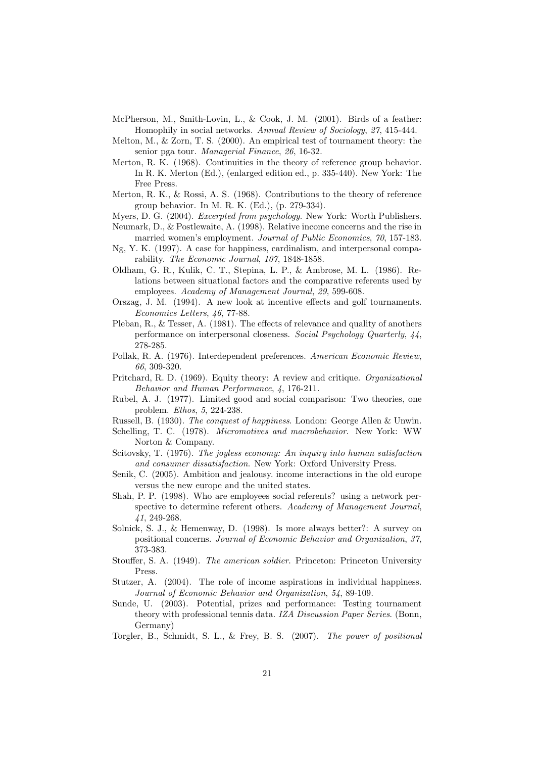- McPherson, M., Smith-Lovin, L., & Cook, J. M. (2001). Birds of a feather: Homophily in social networks. Annual Review of Sociology, 27, 415-444.
- Melton, M., & Zorn, T. S. (2000). An empirical test of tournament theory: the senior pga tour. Managerial Finance, 26, 16-32.
- Merton, R. K. (1968). Continuities in the theory of reference group behavior. In R. K. Merton (Ed.), (enlarged edition ed., p. 335-440). New York: The Free Press.
- Merton, R. K., & Rossi, A. S. (1968). Contributions to the theory of reference group behavior. In M. R. K. (Ed.), (p. 279-334).
- Myers, D. G. (2004). *Excerpted from psychology*. New York: Worth Publishers.
- Neumark, D., & Postlewaite, A. (1998). Relative income concerns and the rise in married women's employment. Journal of Public Economics, 70, 157-183.
- Ng, Y. K. (1997). A case for happiness, cardinalism, and interpersonal comparability. The Economic Journal, 107, 1848-1858.
- Oldham, G. R., Kulik, C. T., Stepina, L. P., & Ambrose, M. L. (1986). Relations between situational factors and the comparative referents used by employees. Academy of Management Journal, 29, 599-608.
- Orszag, J. M. (1994). A new look at incentive effects and golf tournaments. Economics Letters, 46, 77-88.
- Pleban, R., & Tesser, A. (1981). The effects of relevance and quality of anothers performance on interpersonal closeness. Social Psychology Quarterly, 44, 278-285.
- Pollak, R. A. (1976). Interdependent preferences. American Economic Review, 66, 309-320.
- Pritchard, R. D. (1969). Equity theory: A review and critique. Organizational Behavior and Human Performance, 4, 176-211.
- Rubel, A. J. (1977). Limited good and social comparison: Two theories, one problem. Ethos, 5, 224-238.
- Russell, B. (1930). *The conquest of happiness*. London: George Allen & Unwin.
- Schelling, T. C. (1978). *Micromotives and macrobehavior*. New York: WW Norton & Company.
- Scitovsky, T. (1976). The joyless economy: An inquiry into human satisfaction and consumer dissatisfaction. New York: Oxford University Press.
- Senik, C. (2005). Ambition and jealousy. income interactions in the old europe versus the new europe and the united states.
- Shah, P. P. (1998). Who are employees social referents? using a network perspective to determine referent others. Academy of Management Journal, 41, 249-268.
- Solnick, S. J., & Hemenway, D. (1998). Is more always better?: A survey on positional concerns. Journal of Economic Behavior and Organization, 37, 373-383.
- Stouffer, S. A. (1949). The american soldier. Princeton: Princeton University Press.
- Stutzer, A. (2004). The role of income aspirations in individual happiness. Journal of Economic Behavior and Organization, 54, 89-109.
- Sunde, U. (2003). Potential, prizes and performance: Testing tournament theory with professional tennis data. IZA Discussion Paper Series. (Bonn, Germany)
- Torgler, B., Schmidt, S. L., & Frey, B. S. (2007). The power of positional